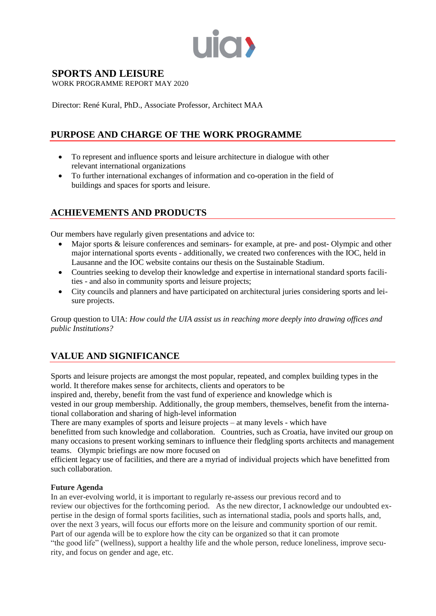

## **SPORTS AND LEISURE**

WORK PROGRAMME REPORT MAY 2020

Director: René Kural, PhD., Associate Professor, Architect MAA

## **PURPOSE AND CHARGE OF THE WORK PROGRAMME**

- To represent and influence sports and leisure architecture in dialogue with other relevant international organizations
- To further international exchanges of information and co-operation in the field of buildings and spaces for sports and leisure.

#### **ACHIEVEMENTS AND PRODUCTS**

Our members have regularly given presentations and advice to:

- Major sports & leisure conferences and seminars- for example, at pre- and post- Olympic and other major international sports events - additionally, we created two conferences with the IOC, held in Lausanne and the IOC website contains our thesis on the Sustainable Stadium.
- Countries seeking to develop their knowledge and expertise in international standard sports facilities - and also in community sports and leisure projects;
- City councils and planners and have participated on architectural juries considering sports and leisure projects.

Group question to UIA: *How could the UIA assist us in reaching more deeply into drawing offices and public Institutions?*

# **VALUE AND SIGNIFICANCE**

Sports and leisure projects are amongst the most popular, repeated, and complex building types in the world. It therefore makes sense for architects, clients and operators to be

inspired and, thereby, benefit from the vast fund of experience and knowledge which is

vested in our group membership. Additionally, the group members, themselves, benefit from the international collaboration and sharing of high-level information

There are many examples of sports and leisure projects – at many levels - which have

benefitted from such knowledge and collaboration. Countries, such as Croatia, have invited our group on many occasions to present working seminars to influence their fledgling sports architects and management teams. Olympic briefings are now more focused on

efficient legacy use of facilities, and there are a myriad of individual projects which have benefitted from such collaboration.

#### **Future Agenda**

In an ever-evolving world, it is important to regularly re-assess our previous record and to review our objectives for the forthcoming period. As the new director, I acknowledge our undoubted expertise in the design of formal sports facilities, such as international stadia, pools and sports halls, and, over the next 3 years, will focus our efforts more on the leisure and community sportion of our remit. Part of our agenda will be to explore how the city can be organized so that it can promote "the good life" (wellness), support a healthy life and the whole person, reduce loneliness, improve security, and focus on gender and age, etc.